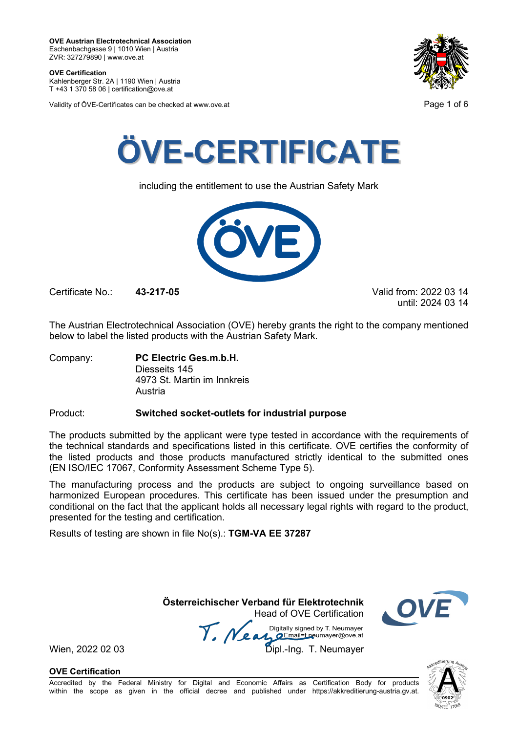**OVE Certification** Kahlenberger Str. 2A | 1190 Wien | Austria

T +43 1 370 58 06 | certification@ove.at

Validity of ÖVE-Certificates can be checked at www.ove.at **Page 1 of 6** 





including the entitlement to use the Austrian Safety Mark



Certificate No.: **43-217-05** Valid from: 2022 03 14

until: 2024 03 14

The Austrian Electrotechnical Association (OVE) hereby grants the right to the company mentioned below to label the listed products with the Austrian Safety Mark.

Company: **PC Electric Ges.m.b.H.** Diesseits 145 4973 St. Martin im Innkreis Austria

### Product: **Switched socket-outlets for industrial purpose**

The products submitted by the applicant were type tested in accordance with the requirements of the technical standards and specifications listed in this certificate. OVE certifies the conformity of the listed products and those products manufactured strictly identical to the submitted ones (EN ISO/IEC 17067, Conformity Assessment Scheme Type 5).

The manufacturing process and the products are subject to ongoing surveillance based on harmonized European procedures. This certificate has been issued under the presumption and conditional on the fact that the applicant holds all necessary legal rights with regard to the product, presented for the testing and certification.

Results of testing are shown in file No(s).: **TGM-VA EE 37287**

 **Österreichischer Verband für Elektrotechnik** Head of OVE Certification

Wien, 2022 02 03<br>Wien, 2022 02 03<br>Dipl.-Ing. T. Neumayer



**OVE Certification**

Accredited by the Federal Ministry for Digital and Economic Affairs as Certification Body for products within the scope as given in the official decree and published under https://akkreditierung-austria.gv.at.

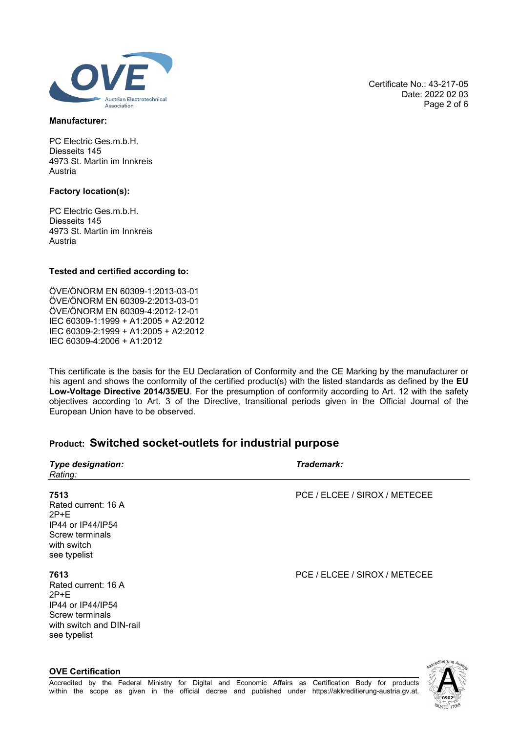

### **Manufacturer:**

PC Electric Ges.m.b.H. Diesseits 145 4973 St. Martin im Innkreis Austria

### **Factory location(s):**

**OVE Certification**

PC Electric Ges.m.b.H. Diesseits 145 4973 St. Martin im Innkreis Austria

### **Tested and certified according to:**

ÖVE/ÖNORM EN 60309-1:2013-03-01 ÖVE/ÖNORM EN 60309-2:2013-03-01 ÖVE/ÖNORM EN 60309-4:2012-12-01 IEC 60309-1:1999 + A1:2005 + A2:2012 IEC 60309-2:1999 + A1:2005 + A2:2012 IEC 60309-4:2006 + A1:2012

This certificate is the basis for the EU Declaration of Conformity and the CE Marking by the manufacturer or his agent and shows the conformity of the certified product(s) with the listed standards as defined by the **EU Low-Voltage Directive 2014/35/EU**. For the presumption of conformity according to Art. 12 with the safety objectives according to Art. 3 of the Directive, transitional periods given in the Official Journal of the European Union have to be observed.

## **Product: Switched socket-outlets for industrial purpose**

| <b>Type designation:</b><br>Rating:                                                                                       | Trademark:                    |
|---------------------------------------------------------------------------------------------------------------------------|-------------------------------|
| 7513<br>Rated current: 16 A<br>$2P+E$<br>IP44 or IP44/IP54<br>Screw terminals<br>with switch<br>see typelist              | PCE / ELCEE / SIROX / METECEE |
| 7613<br>Rated current: 16 A<br>$2P+E$<br>IP44 or IP44/IP54<br>Screw terminals<br>with switch and DIN-rail<br>see typelist | PCE / ELCEE / SIROX / METECEE |

Date: 2022 02 03 Page 2 of 6

Certificate No.: 43-217-05

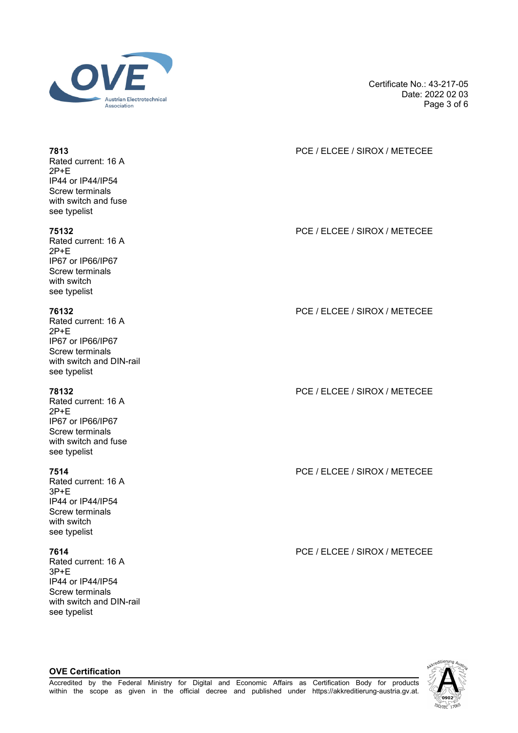

Certificate No.: 43-217-05 Date: 2022 02 03 Page 3 of 6

## **7813** PCE / ELCEE / SIROX / METECEE

**75132** PCE / ELCEE / SIROX / METECEE

**76132** PCE / ELCEE / SIROX / METECEE

**78132** PCE / ELCEE / SIROX / METECEE

**7514** PCE / ELCEE / SIROX / METECEE

**7614** PCE / ELCEE / SIROX / METECEE



### Rated current: 16 A 2P+E IP44 or IP44/IP54 Screw terminals with switch and fuse

see typelist

Rated current: 16 A 2P+E IP67 or IP66/IP67 Screw terminals with switch see typelist

Rated current: 16 A 2P+E IP67 or IP66/IP67 Screw terminals with switch and DIN-rail see typelist

Rated current: 16 A 2P+E IP67 or IP66/IP67 Screw terminals with switch and fuse see typelist

Rated current: 16 A 3P+E IP44 or IP44/IP54 Screw terminals with switch see typelist

Rated current: 16 A 3P+E IP44 or IP44/IP54 Screw terminals with switch and DIN-rail see typelist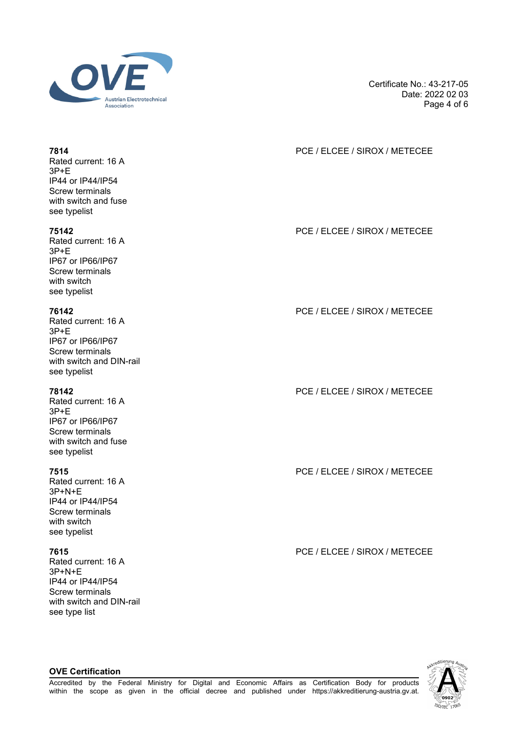

Certificate No.: 43-217-05 Date: 2022 02 03 Page 4 of 6

## **7814** PCE / ELCEE / SIROX / METECEE

**75142** PCE / ELCEE / SIROX / METECEE

**76142** PCE / ELCEE / SIROX / METECEE

**78142** PCE / ELCEE / SIROX / METECEE

**7515** PCE / ELCEE / SIROX / METECEE

**7615** PCE / ELCEE / SIROX / METECEE



### Rated current: 16 A 3P+E IP44 or IP44/IP54 Screw terminals with switch and fuse see typelist

Rated current: 16 A 3P+E IP67 or IP66/IP67 Screw terminals with switch see typelist

Rated current: 16 A  $3P + F$ IP67 or IP66/IP67 Screw terminals with switch and DIN-rail see typelist

Rated current: 16 A 3P+E IP67 or IP66/IP67 Screw terminals with switch and fuse see typelist

Rated current: 16 A 3P+N+E IP44 or IP44/IP54 Screw terminals with switch see typelist

Rated current: 16 A 3P+N+E IP44 or IP44/IP54 Screw terminals with switch and DIN-rail see type list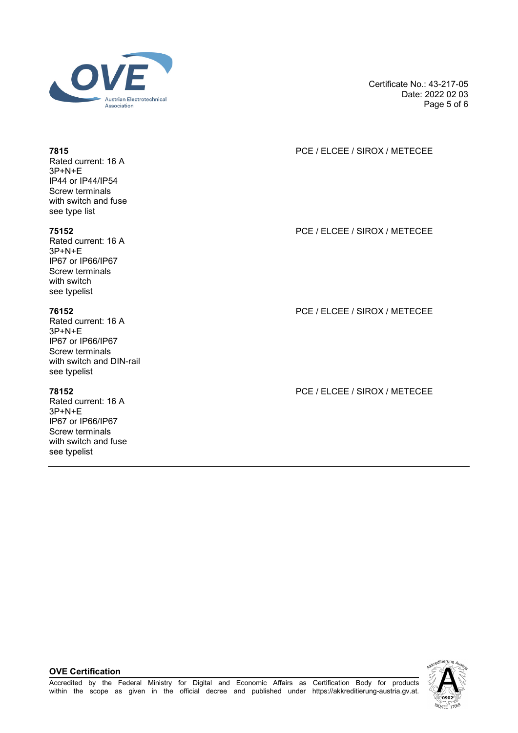

Certificate No.: 43-217-05 Date: 2022 02 03 Page 5 of 6

### **7815** PCE / ELCEE / SIROX / METECEE

**75152** PCE / ELCEE / SIROX / METECEE

**76152** PCE / ELCEE / SIROX / METECEE

**78152** PCE / ELCEE / SIROX / METECEE

Rated current: 16 A 3P+N+E IP44 or IP44/IP54 Screw terminals with switch and fuse see type list

Rated current: 16 A 3P+N+E IP67 or IP66/IP67 Screw terminals with switch see typelist

Rated current: 16 A  $3P+N+F$ IP67 or IP66/IP67 Screw terminals with switch and DIN-rail see typelist

Rated current: 16 A 3P+N+E IP67 or IP66/IP67 Screw terminals with switch and fuse see typelist

**OVE Certification**